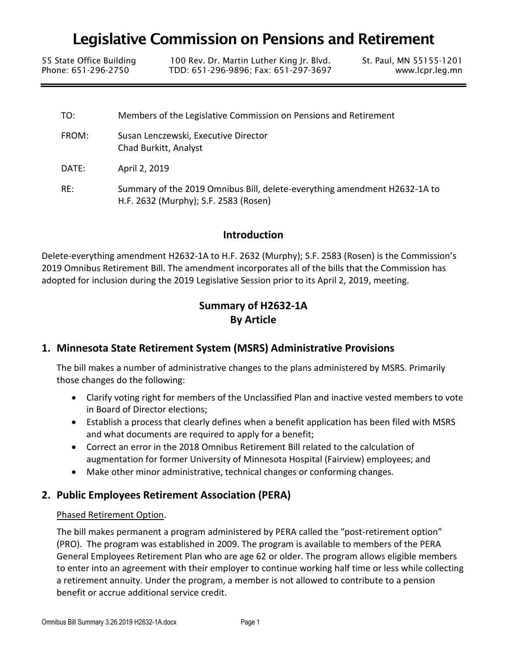# Legislative Commission on Pensions and Retirement

55 State Office Building 100 Rev. Dr. Martin Luther King Jr. Blvd. St. Paul, MN 55155-1201 Phone: 651-296-2750 TDD: 651-296-9896; Fax: 651-297-3697 www.lcpr.leg.mn

| TO:   | Members of the Legislative Commission on Pensions and Retirement                                                   |
|-------|--------------------------------------------------------------------------------------------------------------------|
| FROM: | Susan Lenczewski, Executive Director<br>Chad Burkitt, Analyst                                                      |
| DATE: | April 2, 2019                                                                                                      |
| RE:   | Summary of the 2019 Omnibus Bill, delete-everything amendment H2632-1A to<br>H.F. 2632 (Murphy); S.F. 2583 (Rosen) |

## **Introduction**

Delete-everything amendment H2632-1A to H.F. 2632 (Murphy); S.F. 2583 (Rosen) is the Commission's 2019 Omnibus Retirement Bill. The amendment incorporates all of the bills that the Commission has adopted for inclusion during the 2019 Legislative Session prior to its April 2, 2019, meeting.

# **Summary of H2632-1A By Article**

## **1. Minnesota State Retirement System (MSRS) Administrative Provisions**

The bill makes a number of administrative changes to the plans administered by MSRS. Primarily those changes do the following:

- Clarify voting right for members of the Unclassified Plan and inactive vested members to vote in Board of Director elections;
- Establish a process that clearly defines when a benefit application has been filed with MSRS and what documents are required to apply for a benefit;
- Correct an error in the 2018 Omnibus Retirement Bill related to the calculation of augmentation for former University of Minnesota Hospital (Fairview) employees; and
- Make other minor administrative, technical changes or conforming changes.

# **2. Public Employees Retirement Association (PERA)**

## Phased Retirement Option.

The bill makes permanent a program administered by PERA called the "post-retirement option" (PRO). The program was established in 2009. The program is available to members of the PERA General Employees Retirement Plan who are age 62 or older. The program allows eligible members to enter into an agreement with their employer to continue working half time or less while collecting a retirement annuity. Under the program, a member is not allowed to contribute to a pension benefit or accrue additional service credit.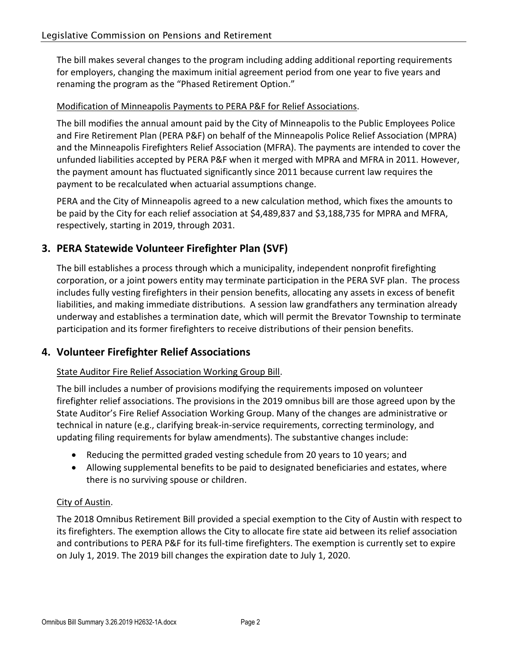The bill makes several changes to the program including adding additional reporting requirements for employers, changing the maximum initial agreement period from one year to five years and renaming the program as the "Phased Retirement Option."

## Modification of Minneapolis Payments to PERA P&F for Relief Associations.

The bill modifies the annual amount paid by the City of Minneapolis to the Public Employees Police and Fire Retirement Plan (PERA P&F) on behalf of the Minneapolis Police Relief Association (MPRA) and the Minneapolis Firefighters Relief Association (MFRA). The payments are intended to cover the unfunded liabilities accepted by PERA P&F when it merged with MPRA and MFRA in 2011. However, the payment amount has fluctuated significantly since 2011 because current law requires the payment to be recalculated when actuarial assumptions change.

PERA and the City of Minneapolis agreed to a new calculation method, which fixes the amounts to be paid by the City for each relief association at \$4,489,837 and \$3,188,735 for MPRA and MFRA, respectively, starting in 2019, through 2031.

# **3. PERA Statewide Volunteer Firefighter Plan (SVF)**

The bill establishes a process through which a municipality, independent nonprofit firefighting corporation, or a joint powers entity may terminate participation in the PERA SVF plan. The process includes fully vesting firefighters in their pension benefits, allocating any assets in excess of benefit liabilities, and making immediate distributions. A session law grandfathers any termination already underway and establishes a termination date, which will permit the Brevator Township to terminate participation and its former firefighters to receive distributions of their pension benefits.

# **4. Volunteer Firefighter Relief Associations**

## State Auditor Fire Relief Association Working Group Bill.

The bill includes a number of provisions modifying the requirements imposed on volunteer firefighter relief associations. The provisions in the 2019 omnibus bill are those agreed upon by the State Auditor's Fire Relief Association Working Group. Many of the changes are administrative or technical in nature (e.g., clarifying break-in-service requirements, correcting terminology, and updating filing requirements for bylaw amendments). The substantive changes include:

- Reducing the permitted graded vesting schedule from 20 years to 10 years; and
- Allowing supplemental benefits to be paid to designated beneficiaries and estates, where there is no surviving spouse or children.

## City of Austin.

The 2018 Omnibus Retirement Bill provided a special exemption to the City of Austin with respect to its firefighters. The exemption allows the City to allocate fire state aid between its relief association and contributions to PERA P&F for its full-time firefighters. The exemption is currently set to expire on July 1, 2019. The 2019 bill changes the expiration date to July 1, 2020.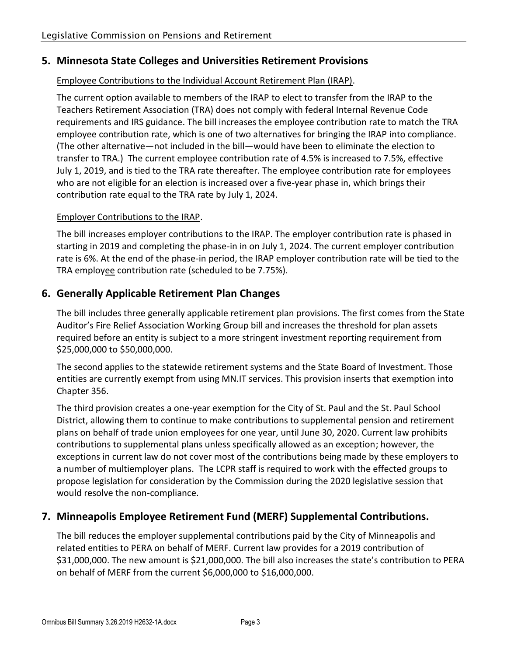## **5. Minnesota State Colleges and Universities Retirement Provisions**

### Employee Contributions to the Individual Account Retirement Plan (IRAP).

The current option available to members of the IRAP to elect to transfer from the IRAP to the Teachers Retirement Association (TRA) does not comply with federal Internal Revenue Code requirements and IRS guidance. The bill increases the employee contribution rate to match the TRA employee contribution rate, which is one of two alternatives for bringing the IRAP into compliance. (The other alternative—not included in the bill—would have been to eliminate the election to transfer to TRA.) The current employee contribution rate of 4.5% is increased to 7.5%, effective July 1, 2019, and is tied to the TRA rate thereafter. The employee contribution rate for employees who are not eligible for an election is increased over a five-year phase in, which brings their contribution rate equal to the TRA rate by July 1, 2024.

## Employer Contributions to the IRAP.

The bill increases employer contributions to the IRAP. The employer contribution rate is phased in starting in 2019 and completing the phase-in in on July 1, 2024. The current employer contribution rate is 6%. At the end of the phase-in period, the IRAP employer contribution rate will be tied to the TRA employee contribution rate (scheduled to be 7.75%).

## **6. Generally Applicable Retirement Plan Changes**

The bill includes three generally applicable retirement plan provisions. The first comes from the State Auditor's Fire Relief Association Working Group bill and increases the threshold for plan assets required before an entity is subject to a more stringent investment reporting requirement from \$25,000,000 to \$50,000,000.

The second applies to the statewide retirement systems and the State Board of Investment. Those entities are currently exempt from using MN.IT services. This provision inserts that exemption into Chapter 356.

The third provision creates a one-year exemption for the City of St. Paul and the St. Paul School District, allowing them to continue to make contributions to supplemental pension and retirement plans on behalf of trade union employees for one year, until June 30, 2020. Current law prohibits contributions to supplemental plans unless specifically allowed as an exception; however, the exceptions in current law do not cover most of the contributions being made by these employers to a number of multiemployer plans. The LCPR staff is required to work with the effected groups to propose legislation for consideration by the Commission during the 2020 legislative session that would resolve the non-compliance.

# **7. Minneapolis Employee Retirement Fund (MERF) Supplemental Contributions.**

The bill reduces the employer supplemental contributions paid by the City of Minneapolis and related entities to PERA on behalf of MERF. Current law provides for a 2019 contribution of \$31,000,000. The new amount is \$21,000,000. The bill also increases the state's contribution to PERA on behalf of MERF from the current \$6,000,000 to \$16,000,000.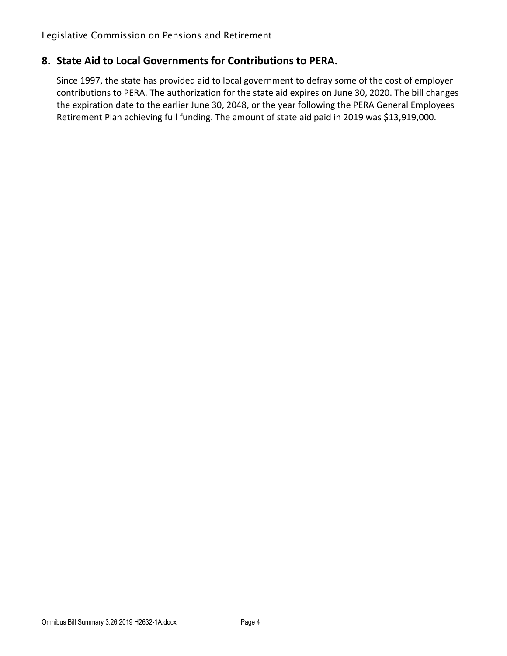## **8. State Aid to Local Governments for Contributions to PERA.**

Since 1997, the state has provided aid to local government to defray some of the cost of employer contributions to PERA. The authorization for the state aid expires on June 30, 2020. The bill changes the expiration date to the earlier June 30, 2048, or the year following the PERA General Employees Retirement Plan achieving full funding. The amount of state aid paid in 2019 was \$13,919,000.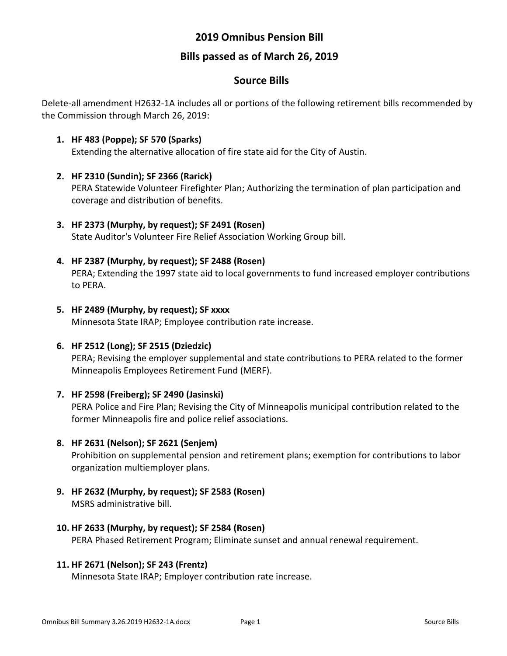## **2019 Omnibus Pension Bill**

## **Bills passed as of March 26, 2019**

## **Source Bills**

Delete-all amendment H2632-1A includes all or portions of the following retirement bills recommended by the Commission through March 26, 2019:

**1. HF 483 (Poppe); SF 570 (Sparks)** Extending the alternative allocation of fire state aid for the City of Austin.

#### **2. HF 2310 (Sundin); SF 2366 (Rarick)**

PERA Statewide Volunteer Firefighter Plan; Authorizing the termination of plan participation and coverage and distribution of benefits.

**3. HF 2373 (Murphy, by request); SF 2491 (Rosen)** State Auditor's Volunteer Fire Relief Association Working Group bill.

#### **4. HF 2387 (Murphy, by request); SF 2488 (Rosen)**

PERA; Extending the 1997 state aid to local governments to fund increased employer contributions to PERA.

#### **5. HF 2489 (Murphy, by request); SF xxxx**

Minnesota State IRAP; Employee contribution rate increase.

#### **6. HF 2512 (Long); SF 2515 (Dziedzic)**

PERA; Revising the employer supplemental and state contributions to PERA related to the former Minneapolis Employees Retirement Fund (MERF).

#### **7. HF 2598 (Freiberg); SF 2490 (Jasinski)**

PERA Police and Fire Plan; Revising the City of Minneapolis municipal contribution related to the former Minneapolis fire and police relief associations.

#### **8. HF 2631 (Nelson); SF 2621 (Senjem)**

Prohibition on supplemental pension and retirement plans; exemption for contributions to labor organization multiemployer plans.

**9. HF 2632 (Murphy, by request); SF 2583 (Rosen)** MSRS administrative bill.

#### **10. HF 2633 (Murphy, by request); SF 2584 (Rosen)**

PERA Phased Retirement Program; Eliminate sunset and annual renewal requirement.

#### **11. HF 2671 (Nelson); SF 243 (Frentz)**

Minnesota State IRAP; Employer contribution rate increase.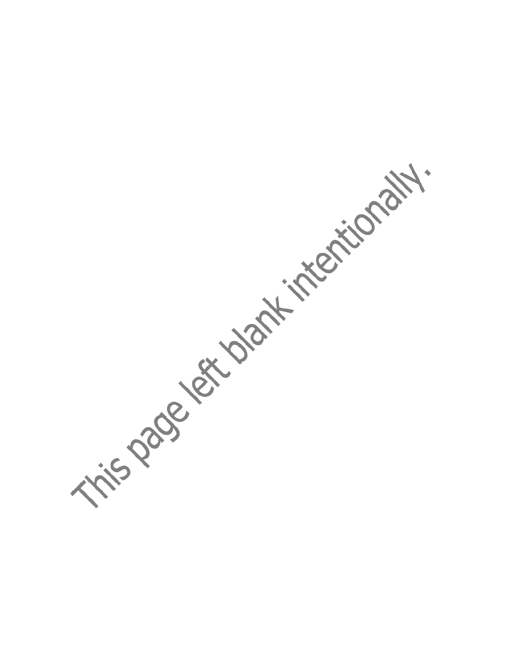This page left bank intertionally.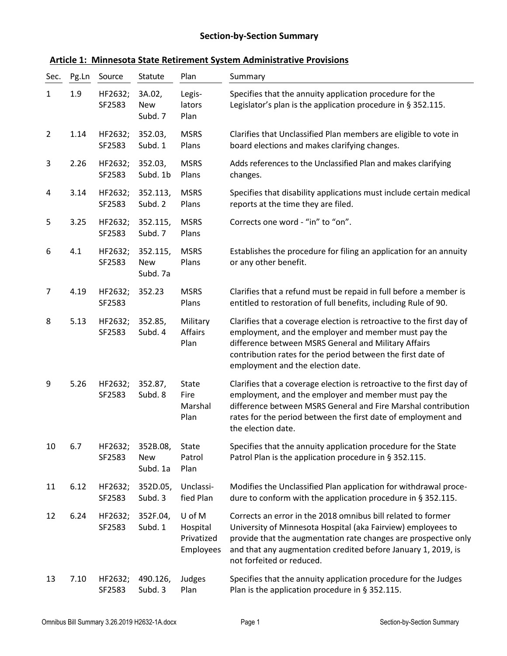### **Article 1: Minnesota State Retirement System Administrative Provisions**

| Sec.           | Pg.Ln | Source            | Statute                            | Plan                                          | Summary                                                                                                                                                                                                                                                                                       |
|----------------|-------|-------------------|------------------------------------|-----------------------------------------------|-----------------------------------------------------------------------------------------------------------------------------------------------------------------------------------------------------------------------------------------------------------------------------------------------|
| $\mathbf{1}$   | 1.9   | HF2632;<br>SF2583 | 3A.02,<br><b>New</b><br>Subd. 7    | Legis-<br>lators<br>Plan                      | Specifies that the annuity application procedure for the<br>Legislator's plan is the application procedure in § 352.115.                                                                                                                                                                      |
| $\overline{2}$ | 1.14  | HF2632;<br>SF2583 | 352.03,<br>Subd. 1                 | <b>MSRS</b><br>Plans                          | Clarifies that Unclassified Plan members are eligible to vote in<br>board elections and makes clarifying changes.                                                                                                                                                                             |
| 3              | 2.26  | HF2632;<br>SF2583 | 352.03,<br>Subd. 1b                | <b>MSRS</b><br>Plans                          | Adds references to the Unclassified Plan and makes clarifying<br>changes.                                                                                                                                                                                                                     |
| 4              | 3.14  | HF2632;<br>SF2583 | 352.113,<br>Subd. 2                | <b>MSRS</b><br>Plans                          | Specifies that disability applications must include certain medical<br>reports at the time they are filed.                                                                                                                                                                                    |
| 5              | 3.25  | HF2632;<br>SF2583 | 352.115,<br>Subd. 7                | <b>MSRS</b><br>Plans                          | Corrects one word - "in" to "on".                                                                                                                                                                                                                                                             |
| 6              | 4.1   | HF2632;<br>SF2583 | 352.115,<br><b>New</b><br>Subd. 7a | <b>MSRS</b><br>Plans                          | Establishes the procedure for filing an application for an annuity<br>or any other benefit.                                                                                                                                                                                                   |
| $\overline{7}$ | 4.19  | HF2632;<br>SF2583 | 352.23                             | <b>MSRS</b><br>Plans                          | Clarifies that a refund must be repaid in full before a member is<br>entitled to restoration of full benefits, including Rule of 90.                                                                                                                                                          |
| 8              | 5.13  | HF2632;<br>SF2583 | 352.85,<br>Subd. 4                 | Military<br><b>Affairs</b><br>Plan            | Clarifies that a coverage election is retroactive to the first day of<br>employment, and the employer and member must pay the<br>difference between MSRS General and Military Affairs<br>contribution rates for the period between the first date of<br>employment and the election date.     |
| 9              | 5.26  | HF2632;<br>SF2583 | 352.87,<br>Subd. 8                 | State<br>Fire<br>Marshal<br>Plan              | Clarifies that a coverage election is retroactive to the first day of<br>employment, and the employer and member must pay the<br>difference between MSRS General and Fire Marshal contribution<br>rates for the period between the first date of employment and<br>the election date.         |
| 10             | 6.7   | HF2632;<br>SF2583 | 352B.08,<br><b>New</b><br>Subd. 1a | State<br>Patrol<br>Plan                       | Specifies that the annuity application procedure for the State<br>Patrol Plan is the application procedure in § 352.115.                                                                                                                                                                      |
| 11             | 6.12  | HF2632;<br>SF2583 | 352D.05,<br>Subd. 3                | Unclassi-<br>fied Plan                        | Modifies the Unclassified Plan application for withdrawal proce-<br>dure to conform with the application procedure in § 352.115.                                                                                                                                                              |
| 12             | 6.24  | HF2632;<br>SF2583 | 352F.04,<br>Subd. 1                | U of M<br>Hospital<br>Privatized<br>Employees | Corrects an error in the 2018 omnibus bill related to former<br>University of Minnesota Hospital (aka Fairview) employees to<br>provide that the augmentation rate changes are prospective only<br>and that any augmentation credited before January 1, 2019, is<br>not forfeited or reduced. |
| 13             | 7.10  | HF2632;<br>SF2583 | 490.126,<br>Subd. 3                | Judges<br>Plan                                | Specifies that the annuity application procedure for the Judges<br>Plan is the application procedure in § 352.115.                                                                                                                                                                            |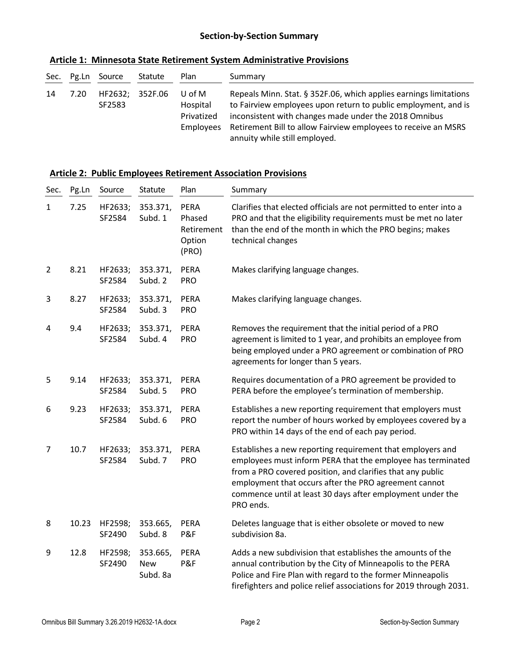|--|

|    | Sec. Pg.Ln | Source                    | Statute | Plan                                                 | Summary                                                                                                                                                                                                                                                                                         |
|----|------------|---------------------------|---------|------------------------------------------------------|-------------------------------------------------------------------------------------------------------------------------------------------------------------------------------------------------------------------------------------------------------------------------------------------------|
| 14 | 7.20       | HF2632; 352F.06<br>SF2583 |         | U of M<br>Hospital<br>Privatized<br><b>Employees</b> | Repeals Minn. Stat. § 352F.06, which applies earnings limitations<br>to Fairview employees upon return to public employment, and is<br>inconsistent with changes made under the 2018 Omnibus<br>Retirement Bill to allow Fairview employees to receive an MSRS<br>annuity while still employed. |

#### **Article 2: Public Employees Retirement Association Provisions**

| Sec.           | Pg.Ln | Source            | Statute                            | Plan                                            | Summary                                                                                                                                                                                                                                                                                                                     |
|----------------|-------|-------------------|------------------------------------|-------------------------------------------------|-----------------------------------------------------------------------------------------------------------------------------------------------------------------------------------------------------------------------------------------------------------------------------------------------------------------------------|
| 1              | 7.25  | HF2633;<br>SF2584 | 353.371,<br>Subd. 1                | PERA<br>Phased<br>Retirement<br>Option<br>(PRO) | Clarifies that elected officials are not permitted to enter into a<br>PRO and that the eligibility requirements must be met no later<br>than the end of the month in which the PRO begins; makes<br>technical changes                                                                                                       |
| $\overline{2}$ | 8.21  | HF2633;<br>SF2584 | 353.371,<br>Subd. 2                | <b>PERA</b><br><b>PRO</b>                       | Makes clarifying language changes.                                                                                                                                                                                                                                                                                          |
| 3              | 8.27  | HF2633;<br>SF2584 | 353.371,<br>Subd. 3                | <b>PERA</b><br><b>PRO</b>                       | Makes clarifying language changes.                                                                                                                                                                                                                                                                                          |
| 4              | 9.4   | HF2633;<br>SF2584 | 353.371,<br>Subd. 4                | <b>PERA</b><br><b>PRO</b>                       | Removes the requirement that the initial period of a PRO<br>agreement is limited to 1 year, and prohibits an employee from<br>being employed under a PRO agreement or combination of PRO<br>agreements for longer than 5 years.                                                                                             |
| 5              | 9.14  | HF2633;<br>SF2584 | 353.371,<br>Subd. 5                | <b>PERA</b><br><b>PRO</b>                       | Requires documentation of a PRO agreement be provided to<br>PERA before the employee's termination of membership.                                                                                                                                                                                                           |
| 6              | 9.23  | HF2633;<br>SF2584 | 353.371,<br>Subd. 6                | PERA<br><b>PRO</b>                              | Establishes a new reporting requirement that employers must<br>report the number of hours worked by employees covered by a<br>PRO within 14 days of the end of each pay period.                                                                                                                                             |
| $\overline{7}$ | 10.7  | HF2633;<br>SF2584 | 353.371,<br>Subd. 7                | PERA<br><b>PRO</b>                              | Establishes a new reporting requirement that employers and<br>employees must inform PERA that the employee has terminated<br>from a PRO covered position, and clarifies that any public<br>employment that occurs after the PRO agreement cannot<br>commence until at least 30 days after employment under the<br>PRO ends. |
| 8              | 10.23 | HF2598;<br>SF2490 | 353.665,<br>Subd. 8                | <b>PERA</b><br>P&F                              | Deletes language that is either obsolete or moved to new<br>subdivision 8a.                                                                                                                                                                                                                                                 |
| 9              | 12.8  | HF2598;<br>SF2490 | 353.665,<br><b>New</b><br>Subd. 8a | <b>PERA</b><br>P&F                              | Adds a new subdivision that establishes the amounts of the<br>annual contribution by the City of Minneapolis to the PERA<br>Police and Fire Plan with regard to the former Minneapolis<br>firefighters and police relief associations for 2019 through 2031.                                                                |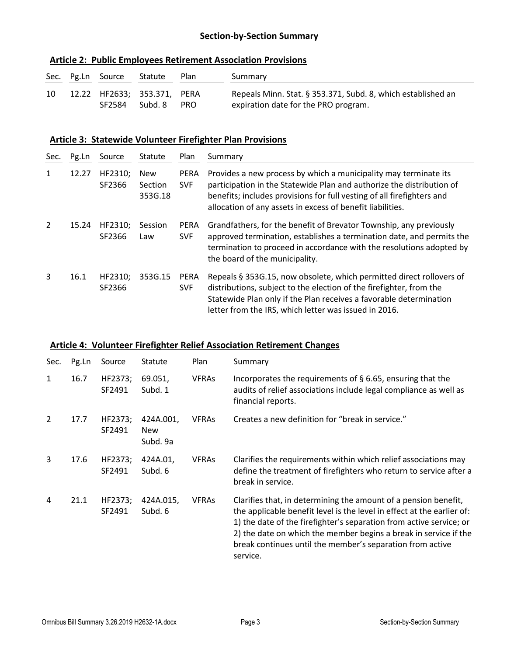| <b>Article 2: Public Employees Retirement Association Provisions</b> |
|----------------------------------------------------------------------|
|----------------------------------------------------------------------|

|    | Sec. Pg.Ln Source | Statute                                | Plan       | Summary                                                                                              |
|----|-------------------|----------------------------------------|------------|------------------------------------------------------------------------------------------------------|
| 10 | SF2584            | 12.22 HF2633; 353.371, PERA<br>Subd. 8 | <b>PRO</b> | Repeals Minn. Stat. § 353.371, Subd. 8, which established an<br>expiration date for the PRO program. |

## **Article 3: Statewide Volunteer Firefighter Plan Provisions**

| Sec. | Pg.Ln | Source            | <b>Statute</b>                   | Plan                      | Summary                                                                                                                                                                                                                                                                           |
|------|-------|-------------------|----------------------------------|---------------------------|-----------------------------------------------------------------------------------------------------------------------------------------------------------------------------------------------------------------------------------------------------------------------------------|
| 1    | 12.27 | HF2310;<br>SF2366 | <b>New</b><br>Section<br>353G.18 | <b>PERA</b><br><b>SVF</b> | Provides a new process by which a municipality may terminate its<br>participation in the Statewide Plan and authorize the distribution of<br>benefits; includes provisions for full vesting of all firefighters and<br>allocation of any assets in excess of benefit liabilities. |
| 2    | 15.24 | HF2310;<br>SF2366 | Session<br>Law                   | <b>PERA</b><br><b>SVF</b> | Grandfathers, for the benefit of Brevator Township, any previously<br>approved termination, establishes a termination date, and permits the<br>termination to proceed in accordance with the resolutions adopted by<br>the board of the municipality.                             |
| 3    | 16.1  | HF2310:<br>SF2366 | 353G.15                          | <b>PERA</b><br><b>SVF</b> | Repeals § 353G.15, now obsolete, which permitted direct rollovers of<br>distributions, subject to the election of the firefighter, from the<br>Statewide Plan only if the Plan receives a favorable determination<br>letter from the IRS, which letter was issued in 2016.        |

## **Article 4: Volunteer Firefighter Relief Association Retirement Changes**

| Sec.           | Pg.Ln | Source            | Statute                             | Plan         | Summary                                                                                                                                                                                                                                                                                                                                                       |
|----------------|-------|-------------------|-------------------------------------|--------------|---------------------------------------------------------------------------------------------------------------------------------------------------------------------------------------------------------------------------------------------------------------------------------------------------------------------------------------------------------------|
| 1              | 16.7  | HF2373;<br>SF2491 | 69.051,<br>Subd. 1                  | <b>VFRAs</b> | Incorporates the requirements of $\S$ 6.65, ensuring that the<br>audits of relief associations include legal compliance as well as<br>financial reports.                                                                                                                                                                                                      |
| $\overline{2}$ | 17.7  | HF2373;<br>SF2491 | 424A.001,<br><b>New</b><br>Subd. 9a | <b>VFRAs</b> | Creates a new definition for "break in service."                                                                                                                                                                                                                                                                                                              |
| 3              | 17.6  | HF2373;<br>SF2491 | 424A.01,<br>Subd. 6                 | <b>VFRAs</b> | Clarifies the requirements within which relief associations may<br>define the treatment of firefighters who return to service after a<br>break in service.                                                                                                                                                                                                    |
| 4              | 21.1  | HF2373;<br>SF2491 | 424A.015,<br>Subd. 6                | <b>VFRAs</b> | Clarifies that, in determining the amount of a pension benefit,<br>the applicable benefit level is the level in effect at the earlier of:<br>1) the date of the firefighter's separation from active service; or<br>2) the date on which the member begins a break in service if the<br>break continues until the member's separation from active<br>service. |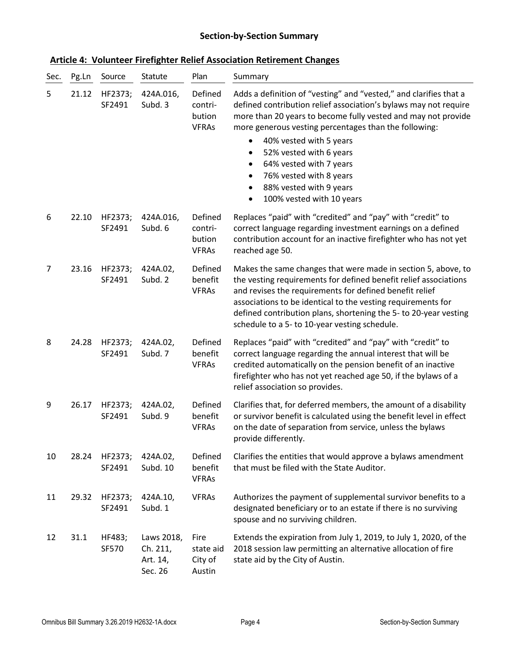| Sec. | Pg.Ln | Source            | Statute                                       | Plan                                         | Summary                                                                                                                                                                                                                                                                                                                                                                                                                                                              |
|------|-------|-------------------|-----------------------------------------------|----------------------------------------------|----------------------------------------------------------------------------------------------------------------------------------------------------------------------------------------------------------------------------------------------------------------------------------------------------------------------------------------------------------------------------------------------------------------------------------------------------------------------|
| 5    | 21.12 | HF2373;<br>SF2491 | 424A.016,<br>Subd. 3                          | Defined<br>contri-<br>bution<br><b>VFRAs</b> | Adds a definition of "vesting" and "vested," and clarifies that a<br>defined contribution relief association's bylaws may not require<br>more than 20 years to become fully vested and may not provide<br>more generous vesting percentages than the following:<br>40% vested with 5 years<br>$\bullet$<br>52% vested with 6 years<br>٠<br>64% vested with 7 years<br>٠<br>76% vested with 8 years<br>٠<br>88% vested with 9 years<br>٠<br>100% vested with 10 years |
| 6    | 22.10 | HF2373;<br>SF2491 | 424A.016,<br>Subd. 6                          | Defined<br>contri-<br>bution<br><b>VFRAs</b> | Replaces "paid" with "credited" and "pay" with "credit" to<br>correct language regarding investment earnings on a defined<br>contribution account for an inactive firefighter who has not yet<br>reached age 50.                                                                                                                                                                                                                                                     |
| 7    | 23.16 | HF2373;<br>SF2491 | 424A.02,<br>Subd. 2                           | Defined<br>benefit<br><b>VFRAs</b>           | Makes the same changes that were made in section 5, above, to<br>the vesting requirements for defined benefit relief associations<br>and revises the requirements for defined benefit relief<br>associations to be identical to the vesting requirements for<br>defined contribution plans, shortening the 5- to 20-year vesting<br>schedule to a 5- to 10-year vesting schedule.                                                                                    |
| 8    | 24.28 | HF2373;<br>SF2491 | 424A.02,<br>Subd. 7                           | Defined<br>benefit<br><b>VFRAs</b>           | Replaces "paid" with "credited" and "pay" with "credit" to<br>correct language regarding the annual interest that will be<br>credited automatically on the pension benefit of an inactive<br>firefighter who has not yet reached age 50, if the bylaws of a<br>relief association so provides.                                                                                                                                                                       |
| 9    | 26.17 | HF2373;<br>SF2491 | 424A.02,<br>Subd. 9                           | Defined<br>benefit<br><b>VFRAs</b>           | Clarifies that, for deferred members, the amount of a disability<br>or survivor benefit is calculated using the benefit level in effect<br>on the date of separation from service, unless the bylaws<br>provide differently.                                                                                                                                                                                                                                         |
| 10   | 28.24 | HF2373;<br>SF2491 | 424A.02,<br>Subd. 10                          | Defined<br>benefit<br><b>VFRAs</b>           | Clarifies the entities that would approve a bylaws amendment<br>that must be filed with the State Auditor.                                                                                                                                                                                                                                                                                                                                                           |
| 11   | 29.32 | HF2373;<br>SF2491 | 424A.10,<br>Subd. 1                           | <b>VFRAs</b>                                 | Authorizes the payment of supplemental survivor benefits to a<br>designated beneficiary or to an estate if there is no surviving<br>spouse and no surviving children.                                                                                                                                                                                                                                                                                                |
| 12   | 31.1  | HF483;<br>SF570   | Laws 2018,<br>Ch. 211,<br>Art. 14,<br>Sec. 26 | Fire<br>state aid<br>City of<br>Austin       | Extends the expiration from July 1, 2019, to July 1, 2020, of the<br>2018 session law permitting an alternative allocation of fire<br>state aid by the City of Austin.                                                                                                                                                                                                                                                                                               |

#### **Article 4: Volunteer Firefighter Relief Association Retirement Changes**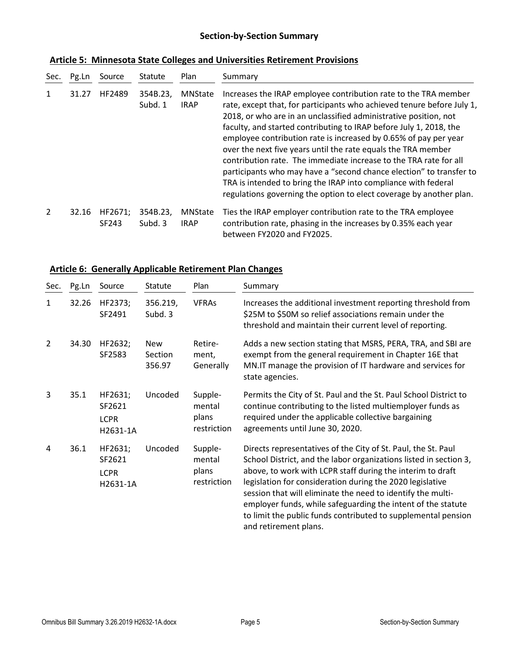| Article 5: Minnesota State Colleges and Universities Retirement Provisions |
|----------------------------------------------------------------------------|
|----------------------------------------------------------------------------|

| Sec. | Pg.Ln | Source           | Statute             | <b>Plan</b>                   | Summary                                                                                                                                                                                                                                                                                                                                                                                                                                                                                                                                                                                                                                                                                                       |
|------|-------|------------------|---------------------|-------------------------------|---------------------------------------------------------------------------------------------------------------------------------------------------------------------------------------------------------------------------------------------------------------------------------------------------------------------------------------------------------------------------------------------------------------------------------------------------------------------------------------------------------------------------------------------------------------------------------------------------------------------------------------------------------------------------------------------------------------|
| 1    | 31.27 | HF2489           | 354B.23,<br>Subd. 1 | <b>MNState</b><br><b>IRAP</b> | Increases the IRAP employee contribution rate to the TRA member<br>rate, except that, for participants who achieved tenure before July 1,<br>2018, or who are in an unclassified administrative position, not<br>faculty, and started contributing to IRAP before July 1, 2018, the<br>employee contribution rate is increased by 0.65% of pay per year<br>over the next five years until the rate equals the TRA member<br>contribution rate. The immediate increase to the TRA rate for all<br>participants who may have a "second chance election" to transfer to<br>TRA is intended to bring the IRAP into compliance with federal<br>regulations governing the option to elect coverage by another plan. |
| 2    | 32.16 | HF2671:<br>SF243 | 354B.23,<br>Subd. 3 | <b>MNState</b><br><b>IRAP</b> | Ties the IRAP employer contribution rate to the TRA employee<br>contribution rate, phasing in the increases by 0.35% each year<br>between FY2020 and FY2025.                                                                                                                                                                                                                                                                                                                                                                                                                                                                                                                                                  |

| <b>Article 6: Generally Applicable Retirement Plan Changes</b> |  |
|----------------------------------------------------------------|--|
|----------------------------------------------------------------|--|

| Sec.           | Pg.Ln | Source                                       | Statute                         | Plan                                      | Summary                                                                                                                                                                                                                                                                                                                                                                                                                                                                                |
|----------------|-------|----------------------------------------------|---------------------------------|-------------------------------------------|----------------------------------------------------------------------------------------------------------------------------------------------------------------------------------------------------------------------------------------------------------------------------------------------------------------------------------------------------------------------------------------------------------------------------------------------------------------------------------------|
| 1              | 32.26 | HF2373;<br>SF2491                            | 356.219,<br>Subd. 3             | <b>VFRAs</b>                              | Increases the additional investment reporting threshold from<br>\$25M to \$50M so relief associations remain under the<br>threshold and maintain their current level of reporting.                                                                                                                                                                                                                                                                                                     |
| $\overline{2}$ | 34.30 | HF2632;<br>SF2583                            | <b>New</b><br>Section<br>356.97 | Retire-<br>ment,<br>Generally             | Adds a new section stating that MSRS, PERA, TRA, and SBI are<br>exempt from the general requirement in Chapter 16E that<br>MN.IT manage the provision of IT hardware and services for<br>state agencies.                                                                                                                                                                                                                                                                               |
| 3              | 35.1  | HF2631;<br>SF2621<br><b>LCPR</b><br>H2631-1A | Uncoded                         | Supple-<br>mental<br>plans<br>restriction | Permits the City of St. Paul and the St. Paul School District to<br>continue contributing to the listed multiemployer funds as<br>required under the applicable collective bargaining<br>agreements until June 30, 2020.                                                                                                                                                                                                                                                               |
| 4              | 36.1  | HF2631;<br>SF2621<br><b>LCPR</b><br>H2631-1A | Uncoded                         | Supple-<br>mental<br>plans<br>restriction | Directs representatives of the City of St. Paul, the St. Paul<br>School District, and the labor organizations listed in section 3,<br>above, to work with LCPR staff during the interim to draft<br>legislation for consideration during the 2020 legislative<br>session that will eliminate the need to identify the multi-<br>employer funds, while safeguarding the intent of the statute<br>to limit the public funds contributed to supplemental pension<br>and retirement plans. |